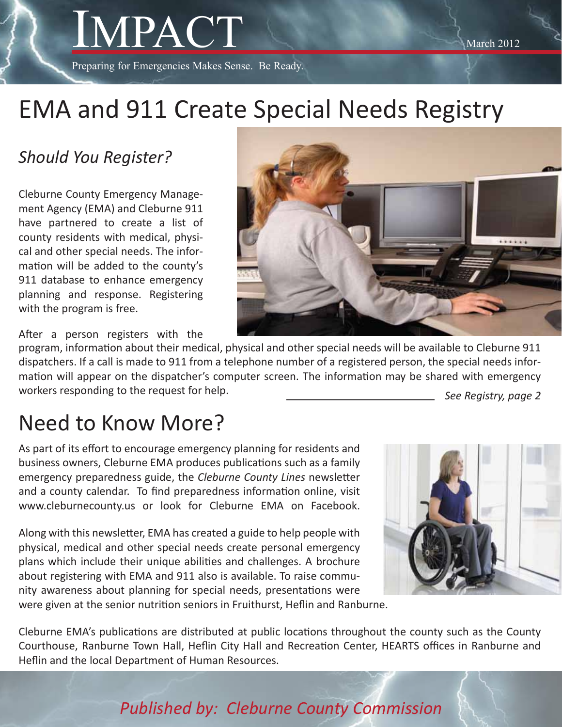Preparing for Emergencies Makes Sense. Be Ready.

# EMA and 911 Create Special Needs Registry

## *Should You Register?*

Cleburne County Emergency Management Agency (EMA) and Cleburne 911 have partnered to create a list of county residents with medical, physical and other special needs. The information will be added to the county's 911 database to enhance emergency planning and response. Registering with the program is free.



After a person registers with the

program, information about their medical, physical and other special needs will be available to Cleburne 911 dispatchers. If a call is made to 911 from a telephone number of a registered person, the special needs information will appear on the dispatcher's computer screen. The information may be shared with emergency workers responding to the request for help. *See Registry, page 2*

## Need to Know More?

As part of its effort to encourage emergency planning for residents and business owners, Cleburne EMA produces publications such as a family emergency preparedness guide, the *Cleburne County Lines* newsletter and a county calendar. To find preparedness information online, visit www.cleburnecounty.us or look for Cleburne EMA on Facebook.

Along with this newsletter, EMA has created a guide to help people with physical, medical and other special needs create personal emergency plans which include their unique abilities and challenges. A brochure about registering with EMA and 911 also is available. To raise community awareness about planning for special needs, presentations were were given at the senior nutrition seniors in Fruithurst, Heflin and Ranburne.



Cleburne EMA's publications are distributed at public locations throughout the county such as the County Courthouse, Ranburne Town Hall, Heflin City Hall and Recreation Center, HEARTS offices in Ranburne and Heflin and the local Department of Human Resources.

*Published by: Cleburne County Commission*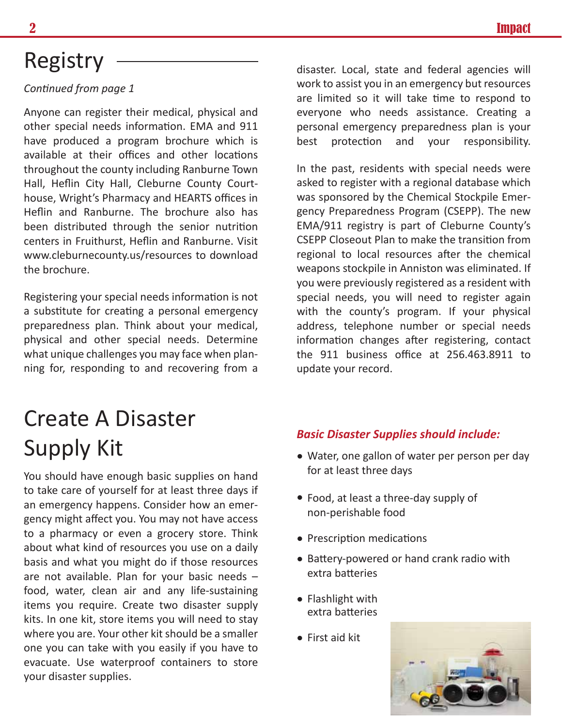## Registry

#### *Continued from page 1*

Anyone can register their medical, physical and other special needs information. EMA and 911 have produced a program brochure which is available at their offices and other locations throughout the county including Ranburne Town Hall, Heflin City Hall, Cleburne County Courthouse, Wright's Pharmacy and HEARTS offices in Heflin and Ranburne. The brochure also has been distributed through the senior nutrition centers in Fruithurst, Heflin and Ranburne. Visit www.cleburnecounty.us/resources to download the brochure.

Registering your special needs information is not a substitute for creating a personal emergency preparedness plan. Think about your medical, physical and other special needs. Determine what unique challenges you may face when planning for, responding to and recovering from a

# Create A Disaster Supply Kit • Water, one gallon of water per person per day

You should have enough basic supplies on hand to take care of yourself for at least three days if an emergency happens. Consider how an emergency might affect you. You may not have access to a pharmacy or even a grocery store. Think about what kind of resources you use on a daily basis and what you might do if those resources are not available. Plan for your basic needs – food, water, clean air and any life-sustaining items you require. Create two disaster supply kits. In one kit, store items you will need to stay where you are. Your other kit should be a smaller one you can take with you easily if you have to evacuate. Use waterproof containers to store your disaster supplies.

disaster. Local, state and federal agencies will work to assist you in an emergency but resources are limited so it will take time to respond to everyone who needs assistance. Creating a personal emergency preparedness plan is your best protection and your responsibility.

In the past, residents with special needs were asked to register with a regional database which was sponsored by the Chemical Stockpile Emergency Preparedness Program (CSEPP). The new EMA/911 registry is part of Cleburne County's CSEPP Closeout Plan to make the transition from regional to local resources after the chemical weapons stockpile in Anniston was eliminated. If you were previously registered as a resident with special needs, you will need to register again with the county's program. If your physical address, telephone number or special needs information changes after registering, contact the 911 business office at 256.463.8911 to update your record.

#### *Basic Disaster Supplies should include:*

- for at least three days
- Food, at least a three-day supply of non-perishable food
- Prescription medications
- Battery-powered or hand crank radio with extra batteries
- Flashlight with extra batteries
- First aid kit

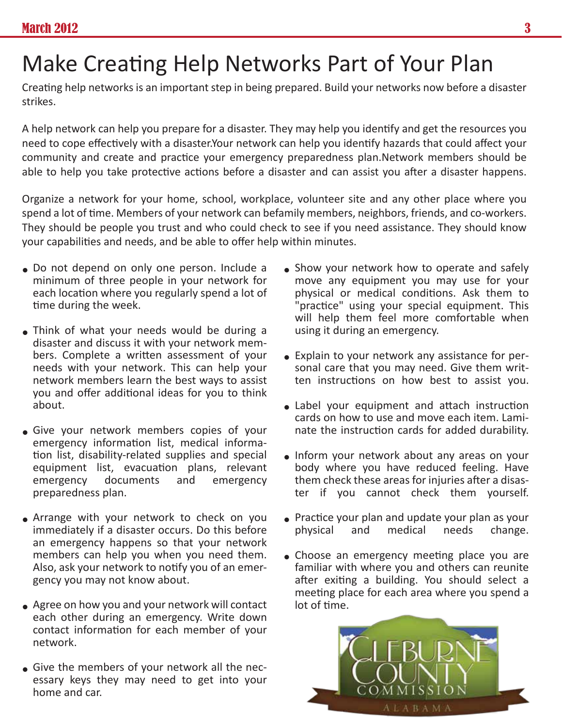# Make Creating Help Networks Part of Your Plan

Creating help networks is an important step in being prepared. Build your networks now before a disaster strikes.

A help network can help you prepare for a disaster. They may help you identify and get the resources you need to cope effectively with a disaster.Your network can help you identify hazards that could affect your community and create and practice your emergency preparedness plan.Network members should be able to help you take protective actions before a disaster and can assist you after a disaster happens.

Organize a network for your home, school, workplace, volunteer site and any other place where you spend a lot of time. Members of your network can befamily members, neighbors, friends, and co-workers. They should be people you trust and who could check to see if you need assistance. They should know your capabilities and needs, and be able to offer help within minutes.

- Do not depend on only one person. Include a minimum of three people in your potwork for minimum of three people in your network for each location where you regularly spend a lot of time during the week.
- Think of what your needs would be during a disastor and discuss it with your notwork mom disaster and discuss it with your network members. Complete a written assessment of your needs with your network. This can help your network members learn the best ways to assist you and offer additional ideas for you to think about.
- Give your network members copies of your<br>
emergency information list modical information emergency information list, medical information list, disability-related supplies and special equipment list, evacuation plans, relevant<br>emergency documents and emergency documents and emergency preparedness plan.
- Arrange with your network to check on you immediately if a disaster occurs. Do this before an emergency happens so that your network members can help you when you need them. Also, ask your network to notify you of an emergency you may not know about.
- Agree on how you and your network will contact each other during an emergency. Write down contact information for each member of your network.
- Give the members of your network all the nec-<br>essay keys they may need to get into your essary keys they may need to get into your home and car.
- Show your network how to operate and safely<br>move any equipment you may use for your move any equipment you may use for your physical or medical conditions. Ask them to "practice" using your special equipment. This will help them feel more comfortable when using it during an emergency.
- Explain to your network any assistance for personal care that you may need. Give them written instructions on how best to assist you.
- Label your equipment and attach instruction cards on how to use and move each item. Laminate the instruction cards for added durability.
- Inform your network about any areas on your body where you have reduced feeling. Have them check these areas for injuries after a disaster if you cannot check them yourself.
- Practice your plan and update your plan as your<br>modical production of the process of the process physical and medical needs change.
- Choose an emergency meeting place you are familiar with whore you and others can reunite familiar with where you and others can reunite after exiting a building. You should select a meeting place for each area where you spend a lot of time.